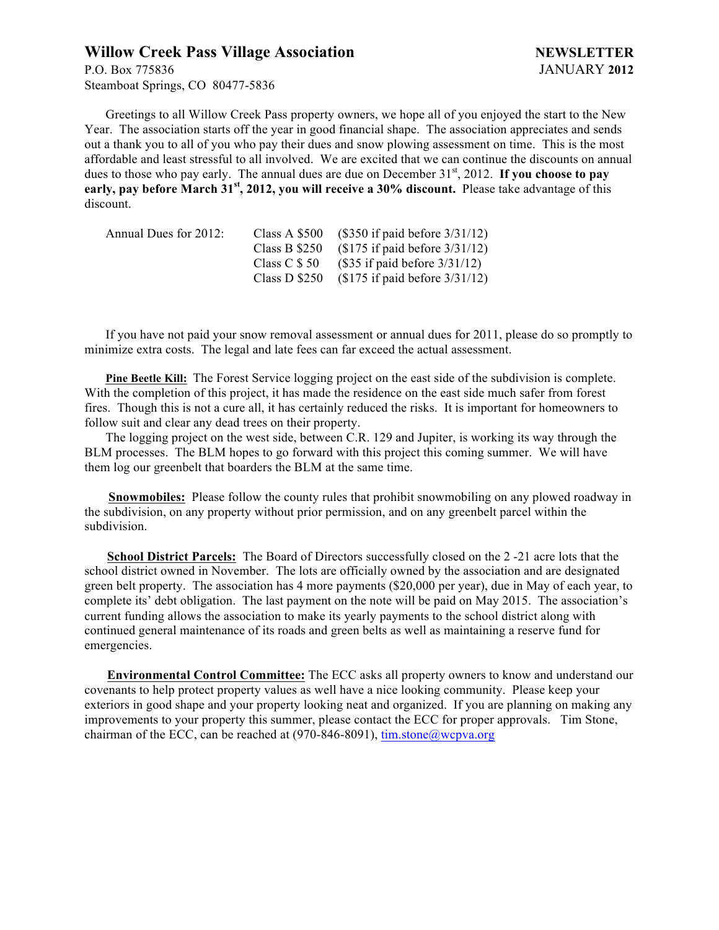# **Willow Creek Pass Village Association NEWSLETTER**

P.O. Box 775836 JANUARY **2012** Steamboat Springs, CO 80477-5836

Greetings to all Willow Creek Pass property owners, we hope all of you enjoyed the start to the New Year. The association starts off the year in good financial shape. The association appreciates and sends out a thank you to all of you who pay their dues and snow plowing assessment on time. This is the most affordable and least stressful to all involved. We are excited that we can continue the discounts on annual dues to those who pay early. The annual dues are due on December 31<sup>st</sup>, 2012. If you choose to pay **early, pay before March 31st, 2012, you will receive a 30% discount.** Please take advantage of this discount.

| Annual Dues for 2012: | Class A \$500  | $($350$ if paid before $3/31/12)$        |
|-----------------------|----------------|------------------------------------------|
|                       | Class B $$250$ | $($175 \text{ if paid before } 3/31/12)$ |
|                       | Class C \$ 50  | $($35 \text{ if paid before } 3/31/12)$  |
|                       | Class D \$250  | $\$175$ if paid before $3/31/12$         |

If you have not paid your snow removal assessment or annual dues for 2011, please do so promptly to minimize extra costs. The legal and late fees can far exceed the actual assessment.

**Pine Beetle Kill:** The Forest Service logging project on the east side of the subdivision is complete. With the completion of this project, it has made the residence on the east side much safer from forest fires. Though this is not a cure all, it has certainly reduced the risks. It is important for homeowners to follow suit and clear any dead trees on their property.

The logging project on the west side, between C.R. 129 and Jupiter, is working its way through the BLM processes. The BLM hopes to go forward with this project this coming summer. We will have them log our greenbelt that boarders the BLM at the same time.

**Snowmobiles:** Please follow the county rules that prohibit snowmobiling on any plowed roadway in the subdivision, on any property without prior permission, and on any greenbelt parcel within the subdivision.

 **School District Parcels:** The Board of Directors successfully closed on the 2 -21 acre lots that the school district owned in November. The lots are officially owned by the association and are designated green belt property. The association has 4 more payments (\$20,000 per year), due in May of each year, to complete its' debt obligation. The last payment on the note will be paid on May 2015. The association's current funding allows the association to make its yearly payments to the school district along with continued general maintenance of its roads and green belts as well as maintaining a reserve fund for emergencies.

 **Environmental Control Committee:** The ECC asks all property owners to know and understand our covenants to help protect property values as well have a nice looking community. Please keep your exteriors in good shape and your property looking neat and organized. If you are planning on making any improvements to your property this summer, please contact the ECC for proper approvals. Tim Stone, chairman of the ECC, can be reached at (970-846-8091), tim.stone@wcpva.org